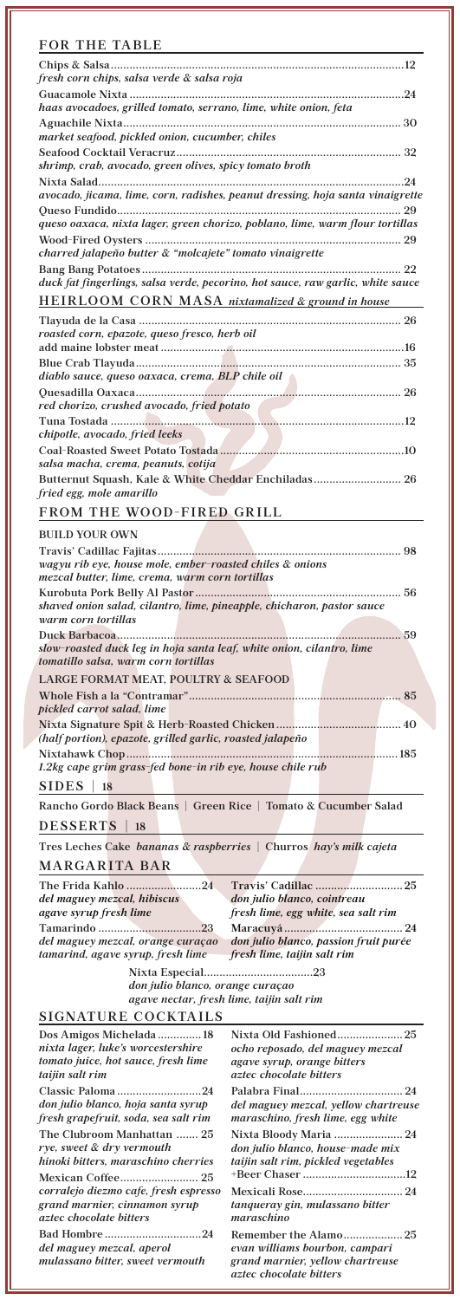*pickled carrot salad, lime* **Nixta Signature Spit & Herb-Roasted Chicken........................................ 40**  *(half portion), epazote, grilled garlic, roasted jalapeño* **Nixtahawk Chop....................................................................................... 185** 

*1.2kg cape grim grass-fed bone-in rib eye, house chile rub* 

**SIDES | 18**

**Rancho Gordo Black Beans | Green Rice | Tomato & Cucumber Salad**

**DESSERTS | 18**

**Tres Leches Cake** *bananas & raspberries* **| Churros** *hay's milk cajeta* 

| The Frida Kahlo 24                |                                       |
|-----------------------------------|---------------------------------------|
| del maguey mezcal, hibiscus       | don julio blanco, cointreau           |
| agave syrup fresh lime            | fresh lime, egg white, sea salt rim   |
|                                   |                                       |
| del maguey mezcal, orange curaçao | don julio blanco, passion fruit purée |
| tamarind, agave syrup, fresh lime | fresh lime, taijin salt rim           |

**MARGARITA BAR**

| FOR THE TABLE                                                                                                 |
|---------------------------------------------------------------------------------------------------------------|
| fresh corn chips, salsa verde & salsa roja                                                                    |
| haas avocadoes, grilled tomato, serrano, lime, white onion, feta                                              |
| market seafood, pickled onion, cucumber, chiles                                                               |
| shrimp, crab, avocado, green olives, spicy tomato broth                                                       |
| avocado, jicama, lime, corn, radishes, peanut dressing, hoja santa vinaigrette                                |
| queso oaxaca, nixta lager, green chorizo, poblano, lime, warm flour tortillas                                 |
| charred jalapeño butter & "molcajete" tomato vinaigrette                                                      |
| duck fat fingerlings, salsa verde, pecorino, hot sauce, raw garlic, white sauce                               |
| HEIRLOOM CORN MASA nixtamalized & ground in house                                                             |
| roasted corn, epazote, queso fresco, herb oil                                                                 |
| diablo sauce, queso oaxaca, crema, BLP chile oil                                                              |
| red chorizo, crushed avocado, fried potato                                                                    |
| chipotle, avocado, fried leeks                                                                                |
| salsa macha, crema, peanuts, cotija                                                                           |
| Butternut Squash, Kale & White Cheddar Enchiladas 26<br>fried egg, mole amarillo                              |
| FROM THE WOOD-FIRED GRILL                                                                                     |
| <b>BUILD YOUR OWN</b>                                                                                         |
| wagyu rib eye, house mole, ember-roasted chiles & onions<br>mezcal butter, lime, crema, warm corn tortillas   |
| shaved onion salad, cilantro, lime, pineapple, chicharon, pastor sauce<br>warm corn tortillas                 |
| slow-roasted duck leg in hoja santa leaf, white onion, cilantro, lime<br>tomatillo salsa, warm corn tortillas |
| LARGE FORMAT MEAT, POULTRY & SEAFOOD                                                                          |
|                                                                                                               |

## **SIGNATURE COCKTAILS**

| Dos Amigos Michelada 18                                       | Nixta Old Fashioned25                                                                                                        |
|---------------------------------------------------------------|------------------------------------------------------------------------------------------------------------------------------|
| nixta lager, luke's worcestershire                            | ocho reposado, del maguey mezcal                                                                                             |
| tomato juice, hot sauce, fresh lime                           | agave syrup, orange bitters                                                                                                  |
| taijin salt rim                                               | <i>aztec chocolate bitters</i>                                                                                               |
|                                                               |                                                                                                                              |
| don julio blanco, hoja santa syrup                            | del maguey mezcal, yellow chartreuse                                                                                         |
| fresh grapefruit, soda, sea salt rim                          | maraschino, fresh lime, egg white                                                                                            |
| The Clubroom Manhattan  25                                    | Nixta Bloody Maria  24                                                                                                       |
| rye, sweet & dry vermouth                                     | don julio blanco, house-made mix                                                                                             |
| hinoki bitters, maraschino cherries                           | taijin salt rim, pickled vegetables                                                                                          |
|                                                               | +Beer Chaser 12                                                                                                              |
| corralejo diezmo cafe, fresh espresso                         |                                                                                                                              |
| grand marnier, cinnamon syrup                                 | tanqueray gin, mulassano bitter                                                                                              |
| aztec chocolate bitters                                       | maraschino                                                                                                                   |
| del maguey mezcal, aperol<br>mulassano bitter, sweet vermouth | Remember the Alamo25<br>evan williams bourbon, campari<br>grand marnier, yellow chartreuse<br><i>aztec chocolate bitters</i> |

**Nixta Especial...................................23**

*don julio blanco, orange curaçao agave nectar, fresh lime, taijin salt rim*